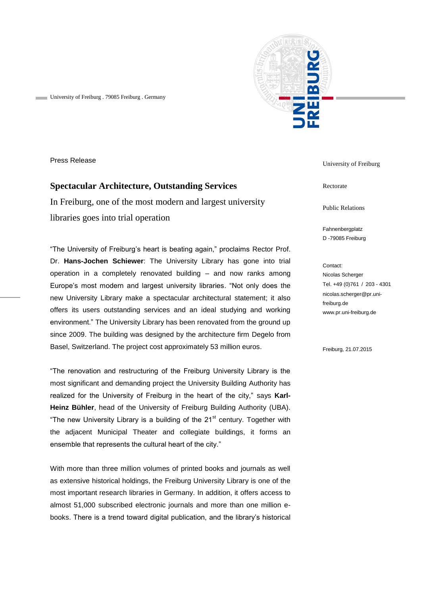

University of Freiburg . 79085 Freiburg . Germany

Press Release

## **Spectacular Architecture, Outstanding Services**

In Freiburg, one of the most modern and largest university libraries goes into trial operation

"The University of Freiburg's heart is beating again," proclaims Rector Prof. Dr. **Hans-Jochen Schiewer**: The University Library has gone into trial operation in a completely renovated building – and now ranks among Europe's most modern and largest university libraries. "Not only does the new University Library make a spectacular architectural statement; it also offers its users outstanding services and an ideal studying and working environment." The University Library has been renovated from the ground up since 2009. The building was designed by the architecture firm Degelo from Basel, Switzerland. The project cost approximately 53 million euros.

"The renovation and restructuring of the Freiburg University Library is the most significant and demanding project the University Building Authority has realized for the University of Freiburg in the heart of the city," says **Karl-Heinz Bühler**, head of the University of Freiburg Building Authority (UBA). "The new University Library is a building of the  $21<sup>st</sup>$  century. Together with the adjacent Municipal Theater and collegiate buildings, it forms an ensemble that represents the cultural heart of the city."

With more than three million volumes of printed books and journals as well as extensive historical holdings, the Freiburg University Library is one of the most important research libraries in Germany. In addition, it offers access to almost 51,000 subscribed electronic journals and more than one million ebooks. There is a trend toward digital publication, and the library's historical

University of Freiburg

Rectorate

Public Relations

Fahnenbergplatz D -79085 Freiburg

Contact: Nicolas Scherger Tel. +49 (0)761 / 203 - 4301 nicolas.scherger@pr.unifreiburg.de www.pr.uni-freiburg.de

Freiburg, 21.07.2015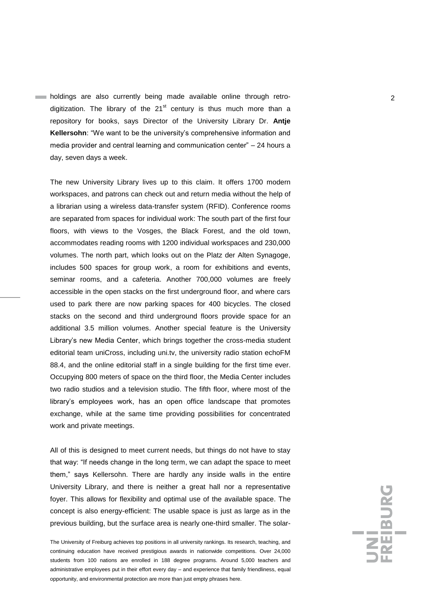**holdings** are also currently being made available online through retrodigitization. The library of the  $21<sup>st</sup>$  century is thus much more than a repository for books, says Director of the University Library Dr. **Antje Kellersohn**: "We want to be the university's comprehensive information and media provider and central learning and communication center" – 24 hours a day, seven days a week.

The new University Library lives up to this claim. It offers 1700 modern workspaces, and patrons can check out and return media without the help of a librarian using a wireless data-transfer system (RFID). Conference rooms are separated from spaces for individual work: The south part of the first four floors, with views to the Vosges, the Black Forest, and the old town, accommodates reading rooms with 1200 individual workspaces and 230,000 volumes. The north part, which looks out on the Platz der Alten Synagoge, includes 500 spaces for group work, a room for exhibitions and events, seminar rooms, and a cafeteria. Another 700,000 volumes are freely accessible in the open stacks on the first underground floor, and where cars used to park there are now parking spaces for 400 bicycles. The closed stacks on the second and third underground floors provide space for an additional 3.5 million volumes. Another special feature is the University Library's new Media Center, which brings together the cross-media student editorial team uniCross, including uni.tv, the university radio station echoFM 88.4, and the online editorial staff in a single building for the first time ever. Occupying 800 meters of space on the third floor, the Media Center includes two radio studios and a television studio. The fifth floor, where most of the library's employees work, has an open office landscape that promotes exchange, while at the same time providing possibilities for concentrated work and private meetings.

All of this is designed to meet current needs, but things do not have to stay that way: "If needs change in the long term, we can adapt the space to meet them," says Kellersohn. There are hardly any inside walls in the entire University Library, and there is neither a great hall nor a representative foyer. This allows for flexibility and optimal use of the available space. The concept is also energy-efficient: The usable space is just as large as in the previous building, but the surface area is nearly one-third smaller. The solar-

The University of Freiburg achieves top positions in all university rankings. Its research, teaching, and continuing education have received prestigious awards in nationwide competitions. Over 24,000 students from 100 nations are enrolled in 188 degree programs. Around 5,000 teachers and administrative employees put in their effort every day – and experience that family friendliness, equal opportunity, and environmental protection are more than just empty phrases here.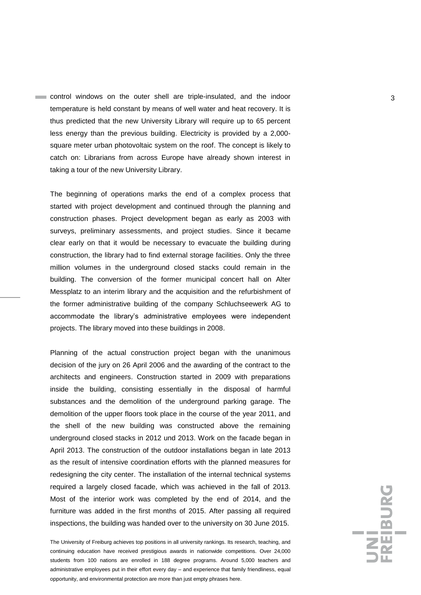control windows on the outer shell are triple-insulated, and the indoor 33 temperature is held constant by means of well water and heat recovery. It is thus predicted that the new University Library will require up to 65 percent less energy than the previous building. Electricity is provided by a 2,000 square meter urban photovoltaic system on the roof. The concept is likely to catch on: Librarians from across Europe have already shown interest in taking a tour of the new University Library.

The beginning of operations marks the end of a complex process that started with project development and continued through the planning and construction phases. Project development began as early as 2003 with surveys, preliminary assessments, and project studies. Since it became clear early on that it would be necessary to evacuate the building during construction, the library had to find external storage facilities. Only the three million volumes in the underground closed stacks could remain in the building. The conversion of the former municipal concert hall on Alter Messplatz to an interim library and the acquisition and the refurbishment of the former administrative building of the company Schluchseewerk AG to accommodate the library's administrative employees were independent projects. The library moved into these buildings in 2008.

Planning of the actual construction project began with the unanimous decision of the jury on 26 April 2006 and the awarding of the contract to the architects and engineers. Construction started in 2009 with preparations inside the building, consisting essentially in the disposal of harmful substances and the demolition of the underground parking garage. The demolition of the upper floors took place in the course of the year 2011, and the shell of the new building was constructed above the remaining underground closed stacks in 2012 und 2013. Work on the facade began in April 2013. The construction of the outdoor installations began in late 2013 as the result of intensive coordination efforts with the planned measures for redesigning the city center. The installation of the internal technical systems required a largely closed facade, which was achieved in the fall of 2013. Most of the interior work was completed by the end of 2014, and the furniture was added in the first months of 2015. After passing all required inspections, the building was handed over to the university on 30 June 2015.

The University of Freiburg achieves top positions in all university rankings. Its research, teaching, and continuing education have received prestigious awards in nationwide competitions. Over 24,000 students from 100 nations are enrolled in 188 degree programs. Around 5,000 teachers and administrative employees put in their effort every day – and experience that family friendliness, equal opportunity, and environmental protection are more than just empty phrases here.